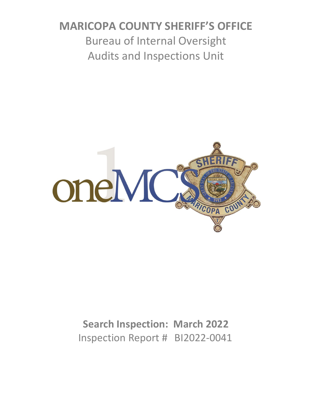# **MARICOPA COUNTY SHERIFF'S OFFICE** Bureau of Internal Oversight Audits and Inspections Unit



## **Search Inspection: March 2022** Inspection Report # BI2022-0041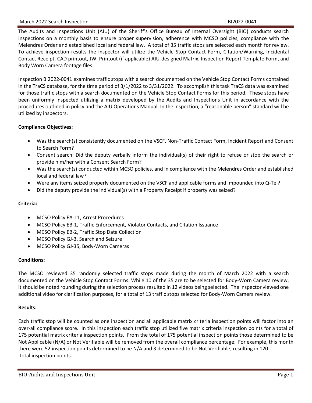#### March 2022 Search Inspection BI2022-0041

The Audits and Inspections Unit (AIU) of the Sheriff's Office Bureau of Internal Oversight (BIO) conducts search inspections on a monthly basis to ensure proper supervision, adherence with MCSO policies, compliance with the Melendres Order and established local and federal law. A total of 35 traffic stops are selected each month for review. To achieve inspection results the inspector will utilize the Vehicle Stop Contact Form, Citation/Warning, Incidental Contact Receipt, CAD printout, JWI Printout (if applicable) AIU-designed Matrix, Inspection Report Template Form, and Body Worn Camera footage files.

Inspection BI2022-0041 examines traffic stops with a search documented on the Vehicle Stop Contact Forms contained in the TraCS database, for the time period of 3/1/2022 to 3/31/2022. To accomplish this task TraCS data was examined for those traffic stops with a search documented on the Vehicle Stop Contact Forms for this period. These stops have been uniformly inspected utilizing a matrix developed by the Audits and Inspections Unit in accordance with the procedures outlined in policy and the AIU Operations Manual. In the inspection, a "reasonable person" standard will be utilized by inspectors.

#### **Compliance Objectives:**

- Was the search(s) consistently documented on the VSCF, Non-Traffic Contact Form, Incident Report and Consent to Search Form?
- Consent search: Did the deputy verbally inform the individual(s) of their right to refuse or stop the search or provide him/her with a Consent Search Form?
- Was the search(s) conducted within MCSO policies, and in compliance with the Melendres Order and established local and federal law?
- Were any items seized properly documented on the VSCF and applicable forms and impounded into Q-Tel?
- Did the deputy provide the individual(s) with a Property Receipt if property was seized?

#### **Criteria:**

- MCSO Policy EA-11, Arrest Procedures
- MCSO Policy EB-1, Traffic Enforcement, Violator Contacts, and Citation Issuance
- MCSO Policy EB-2, Traffic Stop Data Collection
- MCSO Policy GJ-3, Search and Seizure
- MCSO Policy GJ-35, Body-Worn Cameras

#### **Conditions:**

The MCSO reviewed 35 randomly selected traffic stops made during the month of March 2022 with a search documented on the Vehicle Stop Contact Forms. While 10 of the 35 are to be selected for Body-Worn Camera review, it should be noted rounding during the selection process resulted in 12 videos being selected. The inspector viewed one additional video for clarification purposes, for a total of 13 traffic stops selected for Body-Worn Camera review.

#### **Results:**

Each traffic stop will be counted as one inspection and all applicable matrix criteria inspection points will factor into an over-all compliance score. In this inspection each traffic stop utilized five matrix criteria inspection points for a total of 175 potential matrix criteria inspection points. From the total of 175 potential inspection points those determined to be Not Applicable (N/A) or Not Verifiable will be removed from the overall compliance percentage. For example, this month there were 52 inspection points determined to be N/A and 3 determined to be Not Verifiable, resulting in 120 total inspection points.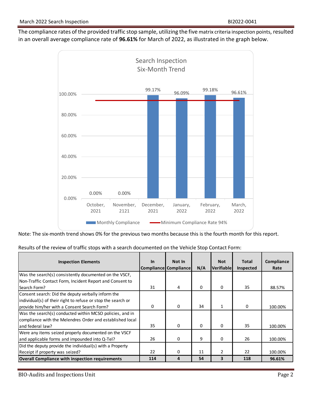The compliance rates of the provided traffic stop sample, utilizing the five matrix criteria inspection points, resulted in an overall average compliance rate of **96.61%** for March of 2022, as illustrated in the graph below.



Note: The six-month trend shows 0% for the previous two months because this is the fourth month for this report.

|  | Results of the review of traffic stops with a search documented on the Vehicle Stop Contact Form: |
|--|---------------------------------------------------------------------------------------------------|
|--|---------------------------------------------------------------------------------------------------|

| <b>Inspection Elements</b>                                                                                                                                        | $\ln$ | Not In<br>Compliance Compliance | N/A | <b>Not</b><br>Verifiable | <b>Total</b><br>Inspected | Compliance<br>Rate |
|-------------------------------------------------------------------------------------------------------------------------------------------------------------------|-------|---------------------------------|-----|--------------------------|---------------------------|--------------------|
| Was the search(s) consistently documented on the VSCF,                                                                                                            |       |                                 |     |                          |                           |                    |
| Non-Traffic Contact Form, Incident Report and Consent to<br>Search Form?                                                                                          | 31    | 4                               | 0   | 0                        | 35                        | 88.57%             |
| Consent search: Did the deputy verbally inform the<br>individual(s) of their right to refuse or stop the search or<br>provide him/her with a Consent Search Form? | 0     | $\Omega$                        | 34  | $\mathbf{1}$             | 0                         | 100.00%            |
| Was the search(s) conducted within MCSO policies, and in<br>compliance with the Melendres Order and established local<br>and federal law?                         | 35    | 0                               | 0   | 0                        | 35                        | 100.00%            |
| Were any items seized properly documented on the VSCF<br>and applicable forms and impounded into Q-Tel?                                                           | 26    | 0                               | 9   | 0                        | 26                        | 100.00%            |
| Did the deputy provide the individual(s) with a Property<br>Receipt if property was seized?                                                                       | 22    | 0                               | 11  | 2                        | 22                        | 100.00%            |
| Overall Compliance with inspection requirements                                                                                                                   | 114   | 4                               | 54  | 3                        | 118                       | 96.61%             |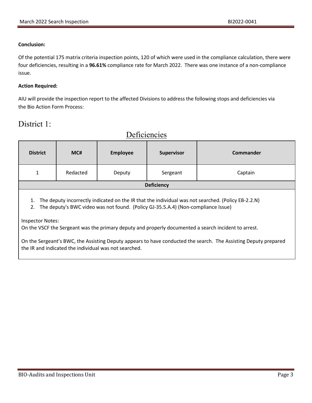#### **Conclusion:**

Of the potential 175 matrix criteria inspection points, 120 of which were used in the compliance calculation, there were four deficiencies, resulting in a **96.61%** compliance rate for March 2022. There was one instance of a non-compliance issue.

#### **Action Required:**

AIU will provide the inspection report to the affected Divisions to address the following stops and deficiencies via the Bio Action Form Process:

**Deficiencies** 

### District 1:

| <b>District</b>   | MC#      | <b>Employee</b> | Supervisor | Commander |
|-------------------|----------|-----------------|------------|-----------|
| -1                | Redacted | Deputy          | Sergeant   | Captain   |
| <b>Deficiency</b> |          |                 |            |           |
|                   |          |                 |            |           |

1. The deputy incorrectly indicated on the IR that the individual was not searched. (Policy EB-2.2.N)

2. The deputy's BWC video was not found. (Policy GJ-35.5.A.4) (Non-compliance Issue)

Inspector Notes:

On the VSCF the Sergeant was the primary deputy and properly documented a search incident to arrest.

On the Sergeant's BWC, the Assisting Deputy appears to have conducted the search. The Assisting Deputy prepared the IR and indicated the individual was not searched.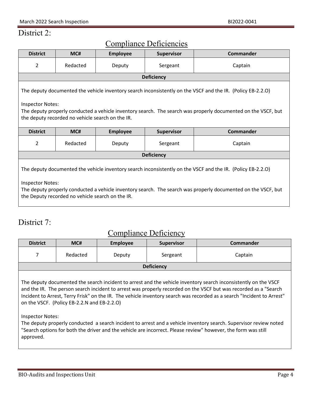### District 2:

| <b>Compliance Deficiencies</b>                                                                                                                                                                                                                                                                              |          |                 |                   |                  |  |
|-------------------------------------------------------------------------------------------------------------------------------------------------------------------------------------------------------------------------------------------------------------------------------------------------------------|----------|-----------------|-------------------|------------------|--|
| <b>District</b>                                                                                                                                                                                                                                                                                             | MC#      | <b>Employee</b> | <b>Supervisor</b> | Commander        |  |
| $\overline{2}$                                                                                                                                                                                                                                                                                              | Redacted | Deputy          | Sergeant          | Captain          |  |
|                                                                                                                                                                                                                                                                                                             |          |                 | <b>Deficiency</b> |                  |  |
| The deputy documented the vehicle inventory search inconsistently on the VSCF and the IR. (Policy EB-2.2.O)<br><b>Inspector Notes:</b><br>The deputy properly conducted a vehicle inventory search. The search was properly documented on the VSCF, but<br>the deputy recorded no vehicle search on the IR. |          |                 |                   |                  |  |
| <b>District</b>                                                                                                                                                                                                                                                                                             | MC#      | <b>Employee</b> | Supervisor        | <b>Commander</b> |  |
| $\overline{2}$                                                                                                                                                                                                                                                                                              | Redacted | Deputy          | Sergeant          | Captain          |  |
| <b>Deficiency</b>                                                                                                                                                                                                                                                                                           |          |                 |                   |                  |  |
| The deputy documented the vehicle inventory search inconsistently on the VSCF and the IR. (Policy EB-2.2.O)<br><b>Inspector Notes:</b><br>The deputy properly conducted a vehicle inventory search. The search was properly documented on the VSCF, but<br>the Deputy recorded no vehicle search on the IR. |          |                 |                   |                  |  |

### District 7:

### Compliance Deficiency

| <b>District</b>   | MC#      | <b>Employee</b> | <b>Supervisor</b> | <b>Commander</b> |  |
|-------------------|----------|-----------------|-------------------|------------------|--|
|                   | Redacted | Deputy          | Sergeant          | Captain          |  |
| <b>Deficiency</b> |          |                 |                   |                  |  |
|                   |          |                 |                   |                  |  |

The deputy documented the search incident to arrest and the vehicle inventory search inconsistently on the VSCF and the IR. The person search incident to arrest was properly recorded on the VSCF but was recorded as a "Search Incident to Arrest, Terry Frisk" on the IR. The vehicle inventory search was recorded as a search "Incident to Arrest" on the VSCF. (Policy EB-2.2.N and EB-2.2.O)

Inspector Notes:

The deputy properly conducted a search incident to arrest and a vehicle inventory search. Supervisor review noted "Search options for both the driver and the vehicle are incorrect. Please review" however, the form was still approved.